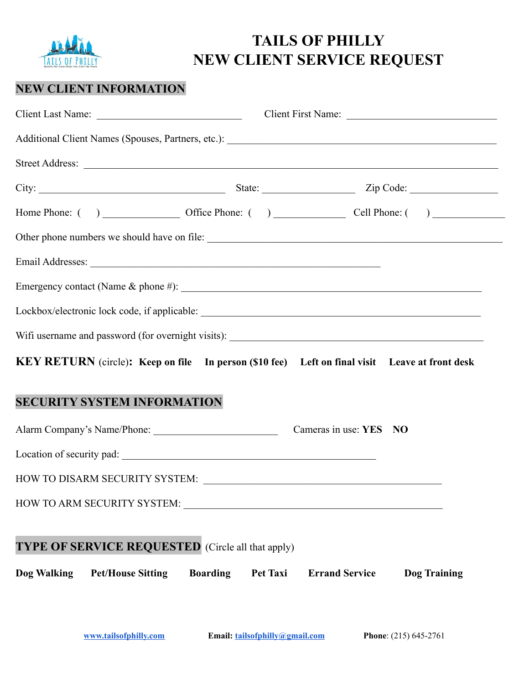

## **TAILS OF PHILLY NEW CLIENT SERVICE REQUEST**

## **NEW CLIENT INFORMATION**

|                                                                                                                                                                                                                                | Client Last Name: Client First Name: Client First Name:         |  |  |
|--------------------------------------------------------------------------------------------------------------------------------------------------------------------------------------------------------------------------------|-----------------------------------------------------------------|--|--|
| Additional Client Names (Spouses, Partners, etc.):                                                                                                                                                                             |                                                                 |  |  |
| Street Address: <u>New York: 2008</u>                                                                                                                                                                                          |                                                                 |  |  |
|                                                                                                                                                                                                                                |                                                                 |  |  |
|                                                                                                                                                                                                                                |                                                                 |  |  |
| Other phone numbers we should have on file:                                                                                                                                                                                    |                                                                 |  |  |
|                                                                                                                                                                                                                                |                                                                 |  |  |
|                                                                                                                                                                                                                                |                                                                 |  |  |
|                                                                                                                                                                                                                                |                                                                 |  |  |
| Wifi username and password (for overnight visits): ______________________________                                                                                                                                              |                                                                 |  |  |
| KEY RETURN (circle): Keep on file In person (\$10 fee) Left on final visit Leave at front desk                                                                                                                                 |                                                                 |  |  |
| <b>SECURITY SYSTEM INFORMATION</b>                                                                                                                                                                                             |                                                                 |  |  |
| Alarm Company's Name/Phone: Cameras in use: YES NO                                                                                                                                                                             |                                                                 |  |  |
| Location of security pad:                                                                                                                                                                                                      |                                                                 |  |  |
|                                                                                                                                                                                                                                |                                                                 |  |  |
| HOW TO ARM SECURITY SYSTEM: University of the Second Property of the Second Property of the Second Property of the Second Property of the Second Property of the Second Property of the Second Property of the Second Property |                                                                 |  |  |
|                                                                                                                                                                                                                                |                                                                 |  |  |
| <b>TYPE OF SERVICE REQUESTED</b> (Circle all that apply)                                                                                                                                                                       |                                                                 |  |  |
| <b>Pet/House Sitting</b><br><b>Boarding</b><br>Dog Walking                                                                                                                                                                     | <b>Pet Taxi</b><br><b>Errand Service</b><br><b>Dog Training</b> |  |  |
|                                                                                                                                                                                                                                |                                                                 |  |  |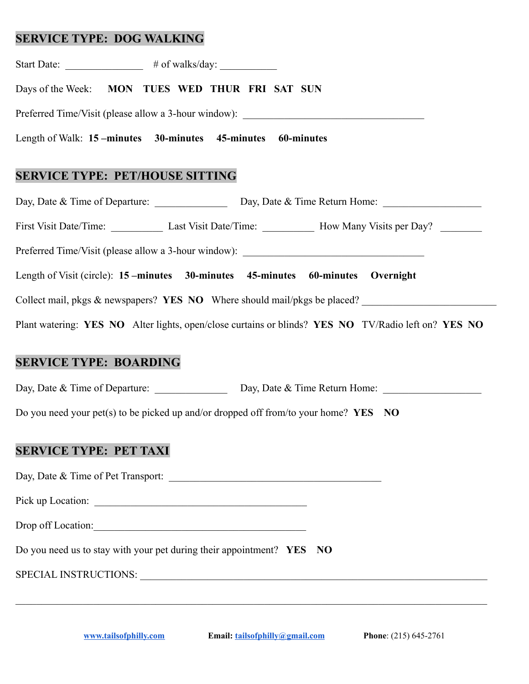## **SERVICE TYPE: DOG WALKING**

| Days of the Week: MON TUES WED THUR FRI SAT SUN                                                     |
|-----------------------------------------------------------------------------------------------------|
| Preferred Time/Visit (please allow a 3-hour window): ____________________________                   |
| Length of Walk: 15 -minutes 30-minutes 45-minutes 60-minutes                                        |
| <b>SERVICE TYPE: PET/HOUSE SITTING</b>                                                              |
| Day, Date & Time of Departure: Day, Date & Time Return Home: 2008. Date & Time Return Home:         |
| First Visit Date/Time: Last Visit Date/Time: How Many Visits per Day?                               |
| Preferred Time/Visit (please allow a 3-hour window): ____________________________                   |
| Length of Visit (circle): 15 - minutes 30-minutes 45-minutes 60-minutes Overnight                   |
| Collect mail, pkgs & newspapers? YES NO Where should mail/pkgs be placed?                           |
| Plant watering: YES NO Alter lights, open/close curtains or blinds? YES NO TV/Radio left on? YES NO |
| <b>SERVICE TYPE: BOARDING</b>                                                                       |
| Day, Date & Time of Departure: Day, Date & Time Return Home: 2008. Date & Time Return Home:         |
| Do you need your pet(s) to be picked up and/or dropped off from/to your home? $YES$ NO              |
| <b>SERVICE TYPE: PET TAXI</b>                                                                       |
| Day, Date & Time of Pet Transport:                                                                  |
| Pick up Location:                                                                                   |
| Drop off Location:                                                                                  |
| Do you need us to stay with your pet during their appointment? YES NO                               |
|                                                                                                     |
|                                                                                                     |